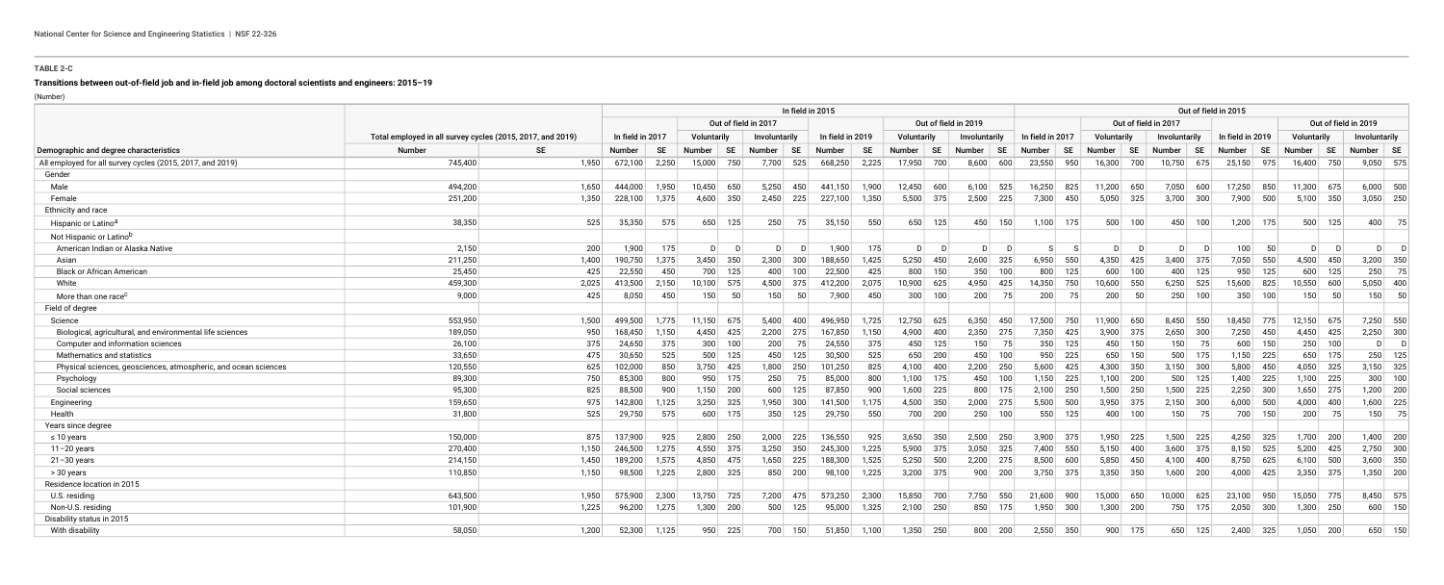### **TABLE 2-C**

# **Transitions between out-of-field job and in-field job among doctoral scientists and engineers: 2015–19**

(Number)

| Demographic and degree characteristics                          |                                                            | In field in 2015 |         |                      |               |             |               |             |                  |           |                              |                |               | Out of field in 2015 |                  |                      |               |                |                |           |                  |                      |             |             |               |             |
|-----------------------------------------------------------------|------------------------------------------------------------|------------------|---------|----------------------|---------------|-------------|---------------|-------------|------------------|-----------|------------------------------|----------------|---------------|----------------------|------------------|----------------------|---------------|----------------|----------------|-----------|------------------|----------------------|-------------|-------------|---------------|-------------|
|                                                                 |                                                            |                  |         | Out of field in 2017 |               |             |               |             |                  |           | Out of field in 2019         |                |               |                      |                  | Out of field in 2017 |               |                |                |           |                  | Out of field in 2019 |             |             |               |             |
|                                                                 | Total employed in all survey cycles (2015, 2017, and 2019) |                  |         | In field in 2017     |               | Voluntarily | Involuntarily |             | In field in 2019 |           | Voluntarily<br>Involuntarily |                |               |                      | In field in 2017 |                      | Voluntarily   |                | Involuntarily  |           | In field in 2019 |                      | Voluntarily |             | Involuntarily |             |
|                                                                 | <b>Number</b>                                              | <b>SE</b>        | Number  | <b>SE</b>            | <b>Number</b> | <b>SE</b>   | <b>Number</b> | <b>SE</b>   | <b>Number</b>    | <b>SE</b> | <b>Number</b>                | <b>SE</b>      | <b>Number</b> | <b>SE</b>            | Number           | <b>SE</b>            | <b>Number</b> | <b>SE</b>      | <b>Number</b>  | <b>SE</b> | <b>Number</b>    | <b>SE</b>            | Number      | <b>SE</b>   | Number   SE   |             |
| All employed for all survey cycles (2015, 2017, and 2019)       | 745,400                                                    | 1,950            | 672,100 | 2.250                | 15,000        | 750         | 7,700         | 525         | 668,250          | 2,225     | 17,950                       | 700            | 8,600         | 600                  | 23,550           | 950                  | 16,300        | 700            | 10,750         | 675       | 25,150 975       |                      | 16,400      | 750         |               | $9,050$ 575 |
| Gender                                                          |                                                            |                  |         |                      |               |             |               |             |                  |           |                              |                |               |                      |                  |                      |               |                |                |           |                  |                      |             |             |               |             |
| Male                                                            | 494,200                                                    | 1.650            | 444.000 | 1,950                | 10,450        | 650         | 5,250         | 450         | 441,150          | 1,900     | 12,450                       | 600            | 6,100         | 525                  | 16,250           | 825                  | 11,200 650    |                | 7,050          | 600       | 17,250           | 850                  | 11,300 675  |             |               | $6,000$ 500 |
| Female                                                          | 251,200                                                    | 1,350            | 228,100 | 1,375                |               | 4,600 350   |               | $2,450$ 225 | $227,100$ 1,350  |           |                              | $5,500$ 375    | $2,500$ 225   |                      | 7,300            | 450                  | $5,050$ 325   |                | $3,700$ 300    |           | 7,900 500        |                      | $5,100$ 350 |             |               | $3,050$ 250 |
| Ethnicity and race                                              |                                                            |                  |         |                      |               |             |               |             |                  |           |                              |                |               |                      |                  |                      |               |                |                |           |                  |                      |             |             |               |             |
| Hispanic or Latino <sup>a</sup>                                 | 38,350                                                     | 525              | 35,350  | 575                  | 650           | 125         | 250           | 75          | 35,150           | 550       | 650                          | 125            | 450           | 150                  |                  | $1,100$ 175          | 500           | 100            | 450            | 100       | 1,200            | 175                  | 500         | 125         | 400           | 75          |
| Not Hispanic or Latino <sup>b</sup>                             |                                                            |                  |         |                      |               |             |               |             |                  |           |                              |                |               |                      |                  |                      |               |                |                |           |                  |                      |             |             |               |             |
| American Indian or Alaska Native                                | 2,150                                                      | 200              | 1,900   | 175                  | D             | D           | D             |             | 1,900            | 175       | D                            | D <sub>1</sub> | D             | D                    | -S I             | - S                  | D             | $\overline{D}$ | D <sup>2</sup> | - D       | 100              | 50                   | D           | - D         | $\mathsf{D}$  |             |
| Asian                                                           | 211,250                                                    | 1,400            | 190,750 | 1,375                | 3,450         | 350         | 2,300         | 300         | 188,650          | 1,425     | 5,250                        | 450            | 2,600         | 325                  | 6,950            | 550                  | 4,350         | 425            | 3,400          | 375       | 7,050            | 550                  | 4,500       | 450         | 3,200         | 350         |
| <b>Black or African American</b>                                | 25,450                                                     | 425              | 22,550  | 450                  | 700           | 125         | 400           | 100         | 22,500           | 425       | 800                          | 150            | 350           | 100                  | 800              | 125                  | 600           | 100            | 400            | 125       | 950              | 125                  | 600         | 125         | 250           | 75          |
| White                                                           | 459,300                                                    | 2,025            | 413,500 | 2,150                | 10,100        | 575         | 4,500         | 375         | 412,200          | 2,075     | 10,900                       | 625            | 4,950         | 425                  | 14,350           | 750                  | 10,600        | 550            | 6,250          | 525       | 15,600           | 825                  | 10,550      | 600         | 5,050         | 400         |
| More than one race <sup>c</sup>                                 | 9,000                                                      | 425              | 8,050   | 450                  | 150           | 50          | 150           | 50          | 7,900            | 450       | 300                          | 100            | 200           | 75                   | 200              | 75                   | 200           | 50             | 250            | 100       | 350              | 100                  | 150         | 50          | 150           | 50          |
| Field of degree                                                 |                                                            |                  |         |                      |               |             |               |             |                  |           |                              |                |               |                      |                  |                      |               |                |                |           |                  |                      |             |             |               |             |
| Science                                                         | 553,950                                                    | 1,500            | 499,500 | 1,775                | 11,150 675    |             | 5,400         | 400         | 496,950          | 1,725     | 12,750 625                   |                | $6,350$ 450   |                      | 17,500 750       |                      | 11,900 650    |                | 8,450 550      |           | 18,450 775       |                      | 12,150 675  |             |               | 7,250 550   |
| Biological, agricultural, and environmental life sciences       | 189,050                                                    | 950              | 168,450 | 1,150                |               | 4,450 425   | 2,200         | 275         | 167,850          | 1,150     | 4,900                        | 400            | $2,350$ 275   |                      | 7,350            | 425                  | $3,900$ 375   |                | $2,650$ 300    |           | 7,250            | 450                  | 4,450 425   |             |               | $2,250$ 300 |
| Computer and information sciences                               | 26,100                                                     | 375              | 24,650  | 375                  | 300           | 100         | 200           | 75          | 24,550           | 375       |                              | 450 125        | 150           | 75                   |                  | $350$ 125            |               | 450 150        | 150            | 75        | 600              | 150                  |             | $250$ 100   | $\mathsf{D}$  | $\Box$      |
| Mathematics and statistics                                      | 33,650                                                     | 475              | 30,650  | 525                  | 500           | 125         | 450           | 125         | 30,500           | 525       |                              | 650 200        | 450           | 100                  |                  | 950 225              | 650           | 150            |                | 500 175   |                  | $1,150$ 225          |             | 650 175     | 250           | 125         |
| Physical sciences, geosciences, atmospheric, and ocean sciences | 120,550                                                    | 625              | 102,000 | 850                  |               | $3,750$ 425 |               | 1,800 250   | 101,250          | 825       |                              | $4,100$ 400    | $2,200$ 250   |                      | 5,600            | 425                  | 4,300 350     |                | $3,150$ 300    |           | 5,800            | 450                  |             | 4,050 325   |               | $3,150$ 325 |
| Psychology                                                      | 89,300                                                     | 750              | 85,300  | 800                  | 950           | 175         | 250           | 75          | 85,000           | 800       |                              | $1,100$ 175    | 450           | 100                  |                  | $1,150$ 225          | $1,100$ 200   |                |                | $500$ 125 | 1,400            | 225                  | $1,100$ 225 |             | 300           | 100         |
| Social sciences                                                 | 95,300                                                     | 825              | 88,500  | 900                  |               | $1,150$ 200 | 600           | 125         | 87,850           | 900       | 1,600                        | 225            | 800           | 175                  |                  | $2,100$ 250          | $1,500$ 250   |                | $1,500$ 225    |           | 2,250            | 300                  |             | $1,650$ 275 |               | $1,200$ 200 |
| Engineering                                                     | 159,650                                                    | 975              | 142,800 | 1,125                |               | $3,250$ 325 |               | $1,950$ 300 | 141,500          | 1,175     |                              | 4,500 350      | $2,000$ 275   |                      |                  | $5,500$ 500          | $3,950$ 375   |                | $2,150$ 300    |           | 6,000            | 500                  | $4,000$ 400 |             |               | $1,600$ 225 |
| Health                                                          | 31,800                                                     | 525              | 29,750  | 575                  |               | $600$ 175   | 350           | 125         | 29,750           | 550       |                              | 700 200        |               | $250$ 100            | 550              | 125                  |               | 400 100        | 150            | 75        |                  | 700 150              | 200         | 75          | 150           | 75          |
| Years since degree                                              |                                                            |                  |         |                      |               |             |               |             |                  |           |                              |                |               |                      |                  |                      |               |                |                |           |                  |                      |             |             |               |             |
| $\leq 10$ years                                                 | 150,000                                                    | 875              | 137,900 | 925                  | 2,800         | 250         | 2,000         | 225         | 136,550          | 925       | 3,650                        | 350            | $2,500$ 250   |                      |                  | $3,900$ 375          | $1,950$ 225   |                | $1,500$ 225    |           | 4,250            | 325                  | 1,700 200   |             |               | $1,400$ 200 |
| $11 - 20$ years                                                 | 270,400                                                    | 1,150            | 246,500 | 1,275                |               | 4,550 375   | 3,250         | 350         | 245,300          | 1,225     |                              | $5,900$ 375    | $3,050$ 325   |                      |                  | 7,400 550            | 5,150         | 400            | $3,600$ 375    |           | 8,150            | 525                  |             | $5,200$ 425 |               | $2,750$ 300 |
| $21 - 30$ years                                                 | 214,150                                                    | 1,450            | 189,200 | 1,575                |               | 4,850 475   | 1,650         | 225         | 188,300          | 1,525     | 5,250                        | 500            | $2,200$ 275   |                      | 8,500            | 600                  | 5,850         | 450            | 4,100          | 400       | 8,750            | 625                  | $6,100$ 500 |             |               | $3,600$ 350 |
| > 30 years                                                      | 110,850                                                    | 1,150            | 98,500  | 1,225                |               | $2,800$ 325 | 850           | 200         | 98,100           | 1,225     |                              | $3,200$ 375    |               | 900   200            |                  | $3,750$ 375          | $3,350$ 350   |                | $1,600$ 200    |           | 4,000            | 425                  | $3,350$ 375 |             |               | $1,350$ 200 |
| Residence location in 2015                                      |                                                            |                  |         |                      |               |             |               |             |                  |           |                              |                |               |                      |                  |                      |               |                |                |           |                  |                      |             |             |               |             |
| U.S. residing                                                   | 643,500                                                    | 1,950            | 575,900 | 2,300                |               | 13,750 725  |               | 7,200 475   | 573,250          | 2,300     |                              | 15,850 700     | 7,750 550     |                      | 21,600           | 900                  | 15,000 650    |                | 10,000         | 625       | 23,100 950       |                      | 15,050 775  |             |               | 8,450 575   |
| Non-U.S. residing                                               | 101,900                                                    | 1,225            | 96,200  | 1,275                |               | $1,300$ 200 | 500           | 125         | 95,000           | 1,325     |                              | $2,100$ 250    |               | 850 175              | 1,950            | 300                  | $1,300$ 200   |                | 750            | 175       | 2,050            | 300                  | $1,300$ 250 |             | 600           | 150         |
| Disability status in 2015                                       |                                                            |                  |         |                      |               |             |               |             |                  |           |                              |                |               |                      |                  |                      |               |                |                |           |                  |                      |             |             |               |             |
| With disability                                                 | 58,050                                                     | 1,200            | 52,300  | 1,125                | 950           | 225         |               | 700 150     | 51,850           | 1,100     |                              | $1,350$ 250    | 800           | 200                  | 2,550            | 350                  | 900           | 175            | 650            | 125       | 2,400            | 325                  |             | $1,050$ 200 |               | 650 150     |